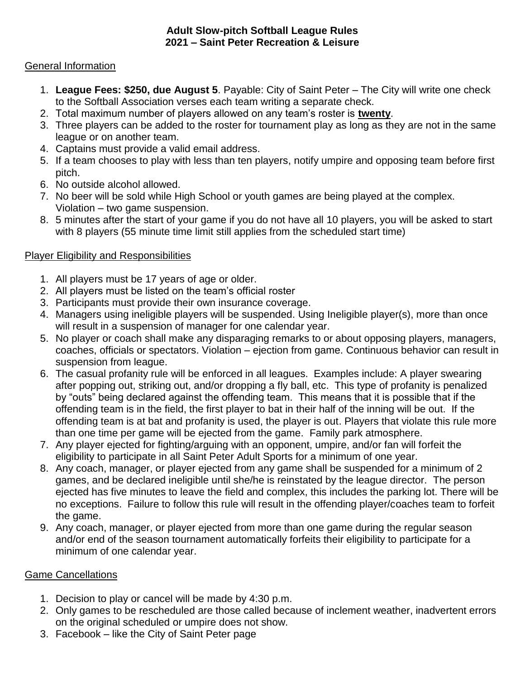#### **Adult Slow-pitch Softball League Rules 2021 – Saint Peter Recreation & Leisure**

### General Information

- 1. **League Fees: \$250, due August 5**. Payable: City of Saint Peter The City will write one check to the Softball Association verses each team writing a separate check.
- 2. Total maximum number of players allowed on any team's roster is **twenty**.
- 3. Three players can be added to the roster for tournament play as long as they are not in the same league or on another team.
- 4. Captains must provide a valid email address.
- 5. If a team chooses to play with less than ten players, notify umpire and opposing team before first pitch.
- 6. No outside alcohol allowed.
- 7. No beer will be sold while High School or youth games are being played at the complex. Violation – two game suspension.
- 8. 5 minutes after the start of your game if you do not have all 10 players, you will be asked to start with 8 players (55 minute time limit still applies from the scheduled start time)

### Player Eligibility and Responsibilities

- 1. All players must be 17 years of age or older.
- 2. All players must be listed on the team's official roster
- 3. Participants must provide their own insurance coverage.
- 4. Managers using ineligible players will be suspended. Using Ineligible player(s), more than once will result in a suspension of manager for one calendar year.
- 5. No player or coach shall make any disparaging remarks to or about opposing players, managers, coaches, officials or spectators. Violation – ejection from game. Continuous behavior can result in suspension from league.
- 6. The casual profanity rule will be enforced in all leagues. Examples include: A player swearing after popping out, striking out, and/or dropping a fly ball, etc. This type of profanity is penalized by "outs" being declared against the offending team. This means that it is possible that if the offending team is in the field, the first player to bat in their half of the inning will be out. If the offending team is at bat and profanity is used, the player is out. Players that violate this rule more than one time per game will be ejected from the game. Family park atmosphere.
- 7. Any player ejected for fighting/arguing with an opponent, umpire, and/or fan will forfeit the eligibility to participate in all Saint Peter Adult Sports for a minimum of one year.
- 8. Any coach, manager, or player ejected from any game shall be suspended for a minimum of 2 games, and be declared ineligible until she/he is reinstated by the league director. The person ejected has five minutes to leave the field and complex, this includes the parking lot. There will be no exceptions. Failure to follow this rule will result in the offending player/coaches team to forfeit the game.
- 9. Any coach, manager, or player ejected from more than one game during the regular season and/or end of the season tournament automatically forfeits their eligibility to participate for a minimum of one calendar year.

### Game Cancellations

- 1. Decision to play or cancel will be made by 4:30 p.m.
- 2. Only games to be rescheduled are those called because of inclement weather, inadvertent errors on the original scheduled or umpire does not show.
- 3. Facebook like the City of Saint Peter page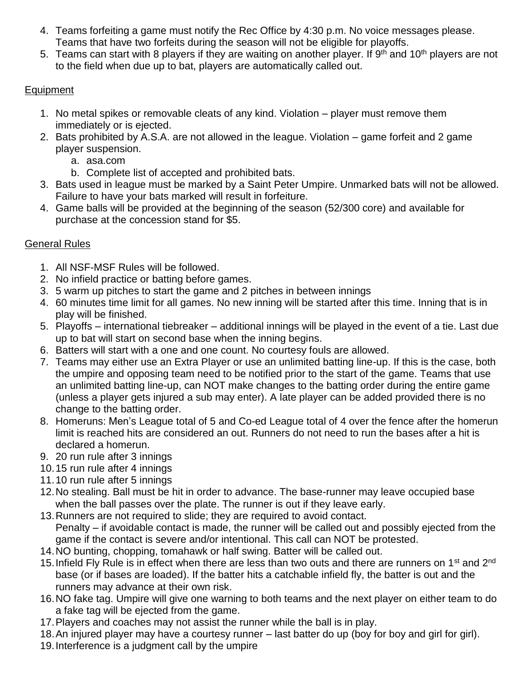- 4. Teams forfeiting a game must notify the Rec Office by 4:30 p.m. No voice messages please. Teams that have two forfeits during the season will not be eligible for playoffs.
- 5. Teams can start with 8 players if they are waiting on another player. If  $9<sup>th</sup>$  and 10<sup>th</sup> players are not to the field when due up to bat, players are automatically called out.

## Equipment

- 1. No metal spikes or removable cleats of any kind. Violation player must remove them immediately or is ejected.
- 2. Bats prohibited by A.S.A. are not allowed in the league. Violation game forfeit and 2 game player suspension.
	- a. asa.com
	- b. Complete list of accepted and prohibited bats.
- 3. Bats used in league must be marked by a Saint Peter Umpire. Unmarked bats will not be allowed. Failure to have your bats marked will result in forfeiture.
- 4. Game balls will be provided at the beginning of the season (52/300 core) and available for purchase at the concession stand for \$5.

# General Rules

- 1. All NSF-MSF Rules will be followed.
- 2. No infield practice or batting before games.
- 3. 5 warm up pitches to start the game and 2 pitches in between innings
- 4. 60 minutes time limit for all games. No new inning will be started after this time. Inning that is in play will be finished.
- 5. Playoffs international tiebreaker additional innings will be played in the event of a tie. Last due up to bat will start on second base when the inning begins.
- 6. Batters will start with a one and one count. No courtesy fouls are allowed.
- 7. Teams may either use an Extra Player or use an unlimited batting line-up. If this is the case, both the umpire and opposing team need to be notified prior to the start of the game. Teams that use an unlimited batting line-up, can NOT make changes to the batting order during the entire game (unless a player gets injured a sub may enter). A late player can be added provided there is no change to the batting order.
- 8. Homeruns: Men's League total of 5 and Co-ed League total of 4 over the fence after the homerun limit is reached hits are considered an out. Runners do not need to run the bases after a hit is declared a homerun.
- 9. 20 run rule after 3 innings
- 10.15 run rule after 4 innings
- 11.10 run rule after 5 innings
- 12.No stealing. Ball must be hit in order to advance. The base-runner may leave occupied base when the ball passes over the plate. The runner is out if they leave early.
- 13.Runners are not required to slide; they are required to avoid contact. Penalty – if avoidable contact is made, the runner will be called out and possibly ejected from the game if the contact is severe and/or intentional. This call can NOT be protested.
- 14.NO bunting, chopping, tomahawk or half swing. Batter will be called out.
- 15. Infield Fly Rule is in effect when there are less than two outs and there are runners on 1<sup>st</sup> and 2<sup>nd</sup> base (or if bases are loaded). If the batter hits a catchable infield fly, the batter is out and the runners may advance at their own risk.
- 16.NO fake tag. Umpire will give one warning to both teams and the next player on either team to do a fake tag will be ejected from the game.
- 17.Players and coaches may not assist the runner while the ball is in play.
- 18.An injured player may have a courtesy runner last batter do up (boy for boy and girl for girl).
- 19.Interference is a judgment call by the umpire